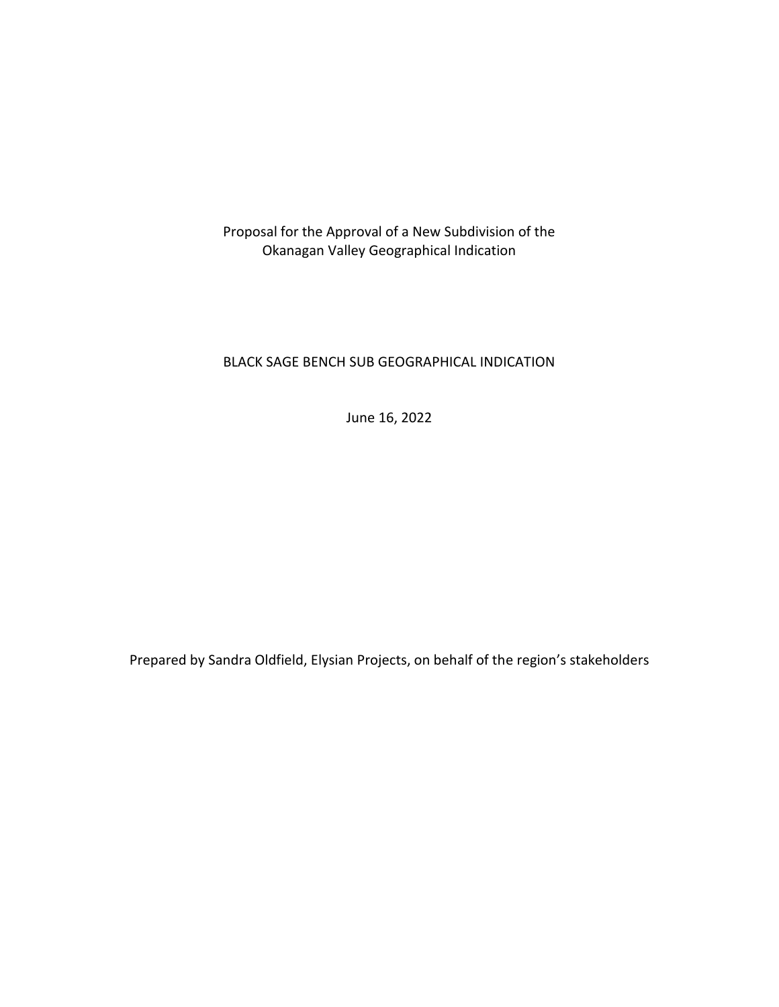Proposal for the Approval of a New Subdivision of the Okanagan Valley Geographical Indication

## BLACK SAGE BENCH SUB GEOGRAPHICAL INDICATION

June 16, 2022

Prepared by Sandra Oldfield, Elysian Projects, on behalf of the region's stakeholders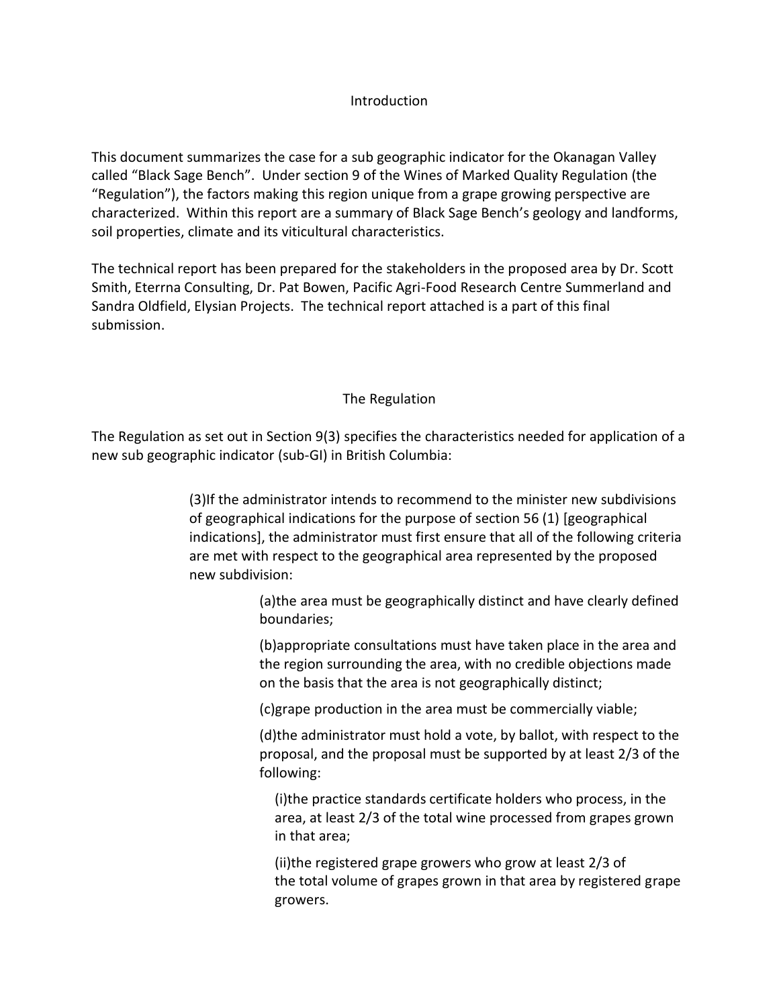## **Introduction**

This document summarizes the case for a sub geographic indicator for the Okanagan Valley called "Black Sage Bench". Under section 9 of the Wines of Marked Quality Regulation (the "Regulation"), the factors making this region unique from a grape growing perspective are characterized. Within this report are a summary of Black Sage Bench's geology and landforms, soil properties, climate and its viticultural characteristics.

The technical report has been prepared for the stakeholders in the proposed area by Dr. Scott Smith, Eterrna Consulting, Dr. Pat Bowen, Pacific Agri-Food Research Centre Summerland and Sandra Oldfield, Elysian Projects. The technical report attached is a part of this final submission.

## The Regulation

The Regulation as set out in Section 9(3) specifies the characteristics needed for application of a new sub geographic indicator (sub-GI) in British Columbia:

> (3)If the administrator intends to recommend to the minister new subdivisions of geographical indications for the purpose of section 56 (1) [geographical indications], the administrator must first ensure that all of the following criteria are met with respect to the geographical area represented by the proposed new subdivision:

> > (a)the area must be geographically distinct and have clearly defined boundaries;

> > (b)appropriate consultations must have taken place in the area and the region surrounding the area, with no credible objections made on the basis that the area is not geographically distinct;

(c)grape production in the area must be commercially viable;

(d)the administrator must hold a vote, by ballot, with respect to the proposal, and the proposal must be supported by at least 2/3 of the following:

(i)the practice standards certificate holders who process, in the area, at least 2/3 of the total wine processed from grapes grown in that area;

(ii)the registered grape growers who grow at least 2/3 of the total volume of grapes grown in that area by registered grape growers.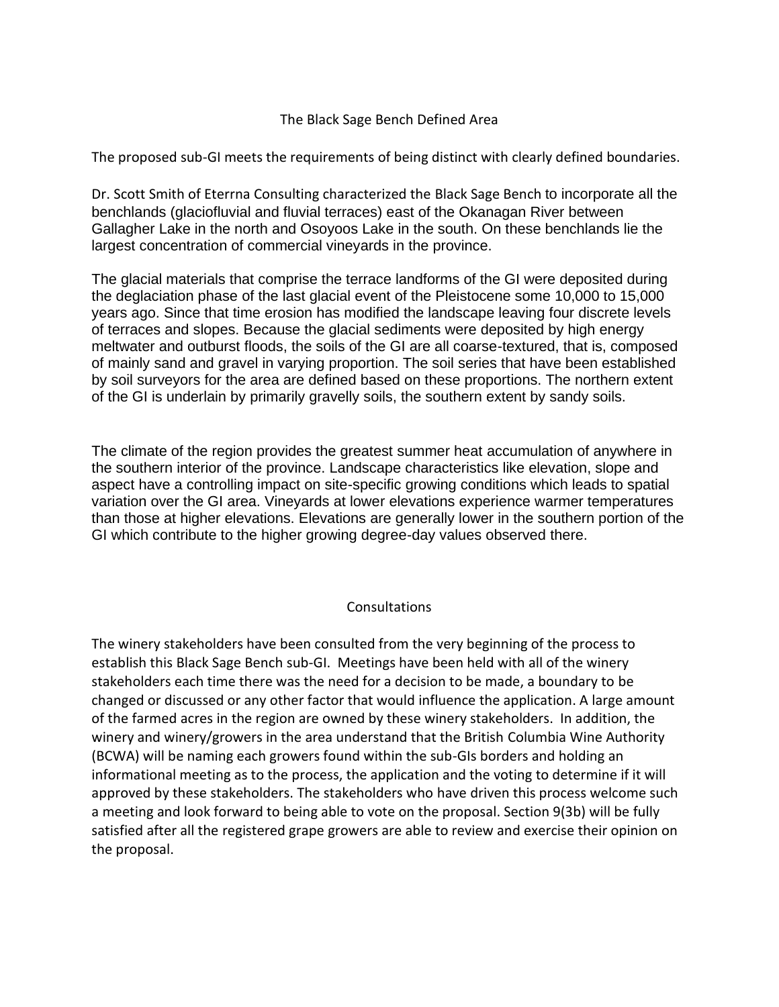#### The Black Sage Bench Defined Area

The proposed sub-GI meets the requirements of being distinct with clearly defined boundaries.

Dr. Scott Smith of Eterrna Consulting characterized the Black Sage Bench to incorporate all the benchlands (glaciofluvial and fluvial terraces) east of the Okanagan River between Gallagher Lake in the north and Osoyoos Lake in the south. On these benchlands lie the largest concentration of commercial vineyards in the province.

The glacial materials that comprise the terrace landforms of the GI were deposited during the deglaciation phase of the last glacial event of the Pleistocene some 10,000 to 15,000 years ago. Since that time erosion has modified the landscape leaving four discrete levels of terraces and slopes. Because the glacial sediments were deposited by high energy meltwater and outburst floods, the soils of the GI are all coarse-textured, that is, composed of mainly sand and gravel in varying proportion. The soil series that have been established by soil surveyors for the area are defined based on these proportions. The northern extent of the GI is underlain by primarily gravelly soils, the southern extent by sandy soils.

The climate of the region provides the greatest summer heat accumulation of anywhere in the southern interior of the province. Landscape characteristics like elevation, slope and aspect have a controlling impact on site-specific growing conditions which leads to spatial variation over the GI area. Vineyards at lower elevations experience warmer temperatures than those at higher elevations. Elevations are generally lower in the southern portion of the GI which contribute to the higher growing degree-day values observed there.

#### Consultations

The winery stakeholders have been consulted from the very beginning of the process to establish this Black Sage Bench sub-GI. Meetings have been held with all of the winery stakeholders each time there was the need for a decision to be made, a boundary to be changed or discussed or any other factor that would influence the application. A large amount of the farmed acres in the region are owned by these winery stakeholders. In addition, the winery and winery/growers in the area understand that the British Columbia Wine Authority (BCWA) will be naming each growers found within the sub-GIs borders and holding an informational meeting as to the process, the application and the voting to determine if it will approved by these stakeholders. The stakeholders who have driven this process welcome such a meeting and look forward to being able to vote on the proposal. Section 9(3b) will be fully satisfied after all the registered grape growers are able to review and exercise their opinion on the proposal.